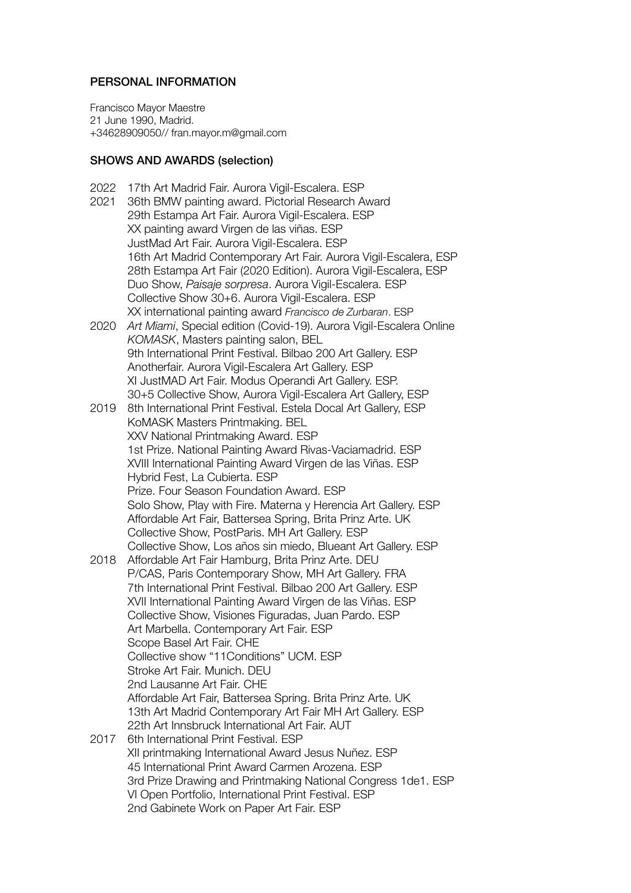## PERSONAL INFORMATION

Francisco Mayor Maestre 21 June 1990, Madrid. +34628909050// fran.mayor.m@gmail.com

## SHOWS AND AWARDS (selection)

- 2022 17th Art Madrid Fair. Aurora Vigil-Escalera. ESP
- 2021 36th BMW painting award. Pictorial Research Award 29th Estampa Art Fair. Aurora Vigil-Escalera. ESP XX painting award Virgen de las viñas. ESP JustMad Art Fair. Aurora Vigil-Escalera. ESP 16th Art Madrid Contemporary Art Fair. Aurora Vigil-Escalera, ESP 28th Estampa Art Fair (2020 Edition). Aurora Vigil-Escalera, ESP Duo Show, *Paisaje sorpresa*. Aurora Vigil-Escalera. ESP Collective Show 30+6. Aurora Vigil-Escalera. ESP XX international painting award *Francisco de Zurbaran*. ESP
- 2020 *Art Miami*, Special edition (Covid-19). Aurora Vigil-Escalera Online *KOMASK*, Masters painting salon, BEL 9th International Print Festival. Bilbao 200 Art Gallery. ESP Anotherfair. Aurora Vigil-Escalera Art Gallery. ESP XI JustMAD Art Fair. Modus Operandi Art Gallery. ESP. 30+5 Collective Show, Aurora Vigil-Escalera Art Gallery, ESP
- 2019 8th International Print Festival. Estela Docal Art Gallery, ESP KoMASK Masters Printmaking. BEL XXV National Printmaking Award. ESP 1st Prize. National Painting Award Rivas-Vaciamadrid. ESP XVIII International Painting Award Virgen de las Viñas. ESP Hybrid Fest, La Cubierta. ESP Prize. Four Season Foundation Award. ESP Solo Show, Play with Fire. Materna y Herencia Art Gallery. ESP Affordable Art Fair, Battersea Spring, Brita Prinz Arte. UK Collective Show, PostParis. MH Art Gallery. ESP Collective Show, Los años sin miedo, Blueant Art Gallery. ESP
- 2018 Affordable Art Fair Hamburg, Brita Prinz Arte. DEU P/CAS, Paris Contemporary Show, MH Art Gallery. FRA 7th International Print Festival. Bilbao 200 Art Gallery. ESP XVII International Painting Award Virgen de las Viñas. ESP Collective Show, Visiones Figuradas, Juan Pardo. ESP Art Marbella. Contemporary Art Fair. ESP Scope Basel Art Fair. CHE Collective show "11Conditions" UCM. ESP Stroke Art Fair. Munich. DEU 2nd Lausanne Art Fair. CHE Affordable Art Fair, Battersea Spring. Brita Prinz Arte. UK 13th Art Madrid Contemporary Art Fair MH Art Gallery. ESP 22th Art Innsbruck International Art Fair. AUT 2017 6th International Print Festival. ESP XII printmaking International Award Jesus Nuñez. ESP 45 International Print Award Carmen Arozena. ESP 3rd Prize Drawing and Printmaking National Congress 1de1. ESP
	- VI Open Portfolio, International Print Festival. ESP
		- 2nd Gabinete Work on Paper Art Fair. ESP